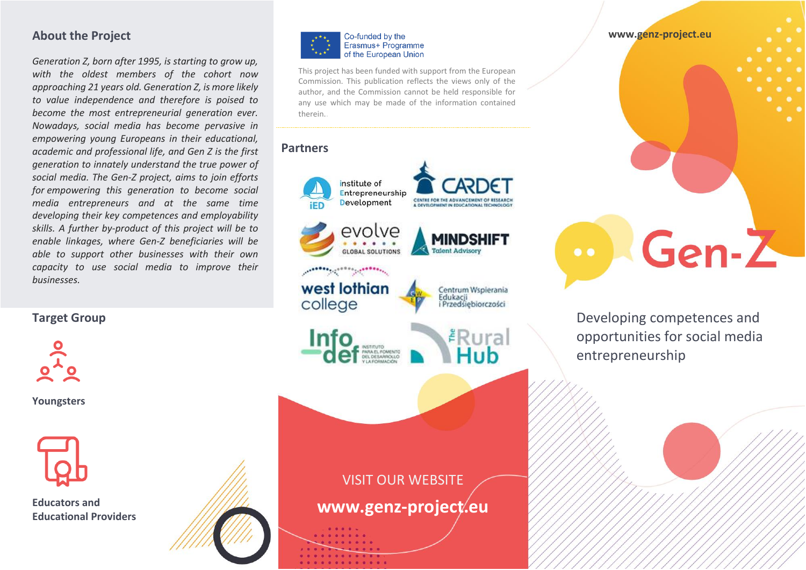## **About the Project**

*Generation Z, born after 1995, is starting to grow up, with the oldest members of the cohort now approaching 21 years old. Generation Z, is more likely to value independence and therefore is poised to become the most entrepreneurial generation ever. Nowadays, social media has become pervasive in empowering young Europeans in their educational, academic and professional life, and Gen Z is the first generation to innately understand the true power of social media. The Gen-Z project, aims to join efforts for empowering this generation to become social media entrepreneurs and at the same time developing their key competences and employability skills. A further by-product of this project will be to enable linkages, where Gen-Z beneficiaries will be able to support other businesses with their own capacity to use social media to improve their businesses.*

**Target Group**



**Youngsters**



**Educators and Educational Providers**



This project has been funded with support from the European Commission. This publication reflects the views only of the author, and the Commission cannot be held responsible for any use which may be made of the information contained therein..

#### **Partners**



VISIT OUR WEBSITE **www.genz-project.eu** **www.genz-project.eu**  $Gen-Z$ 

Developing competences and opportunities for social media entrepreneurship